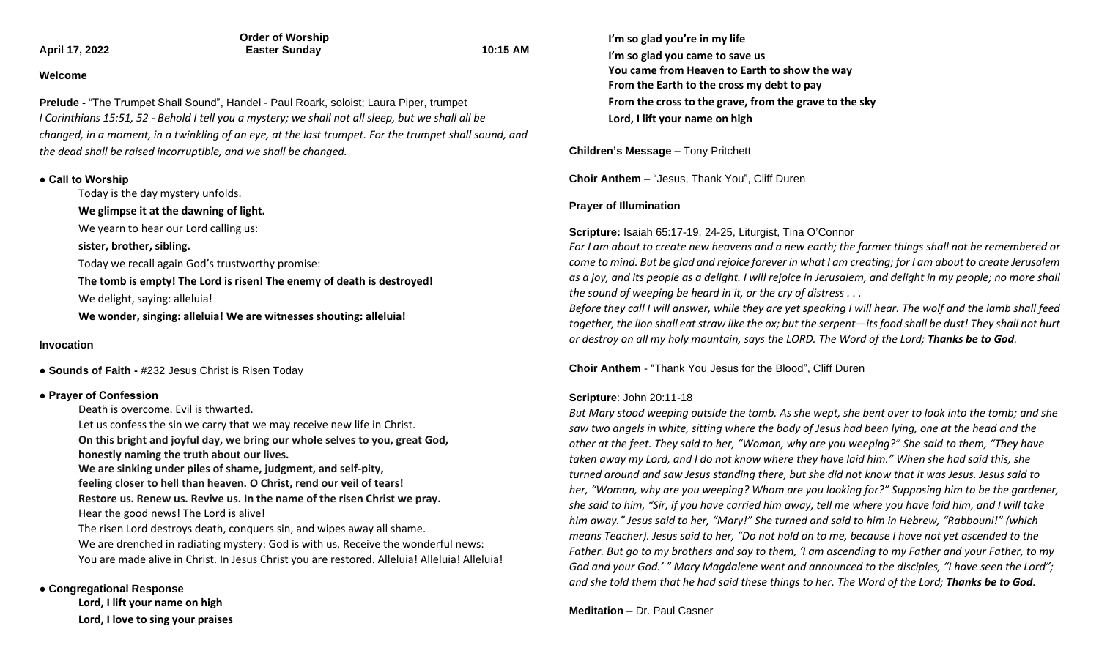|                | <b>Order of Worship</b> |          |
|----------------|-------------------------|----------|
| April 17, 2022 | <b>Easter Sunday</b>    | 10:15 AM |

#### **Welcome**

**Prelude -** "The Trumpet Shall Sound", Handel - Paul Roark, soloist; Laura Piper, trumpet *I Corinthians 15:51, 52 - Behold I tell you a mystery; we shall not all sleep, but we shall all be changed, in a moment, in a twinkling of an eye, at the last trumpet. For the trumpet shall sound, and the dead shall be raised incorruptible, and we shall be changed.*

#### **● Call to Worship**

Today is the day mystery unfolds.

**We glimpse it at the dawning of light.**

We yearn to hear our Lord calling us:

# **sister, brother, sibling.**

Today we recall again God's trustworthy promise:

**The tomb is empty! The Lord is risen! The enemy of death is destroyed!**

We delight, saying: alleluia!

**We wonder, singing: alleluia! We are witnesses shouting: alleluia!**

#### **Invocation**

**● Sounds of Faith -** #232 Jesus Christ is Risen Today

# **● Prayer of Confession**

Death is overcome. Evil is thwarted. Let us confess the sin we carry that we may receive new life in Christ. **On this bright and joyful day, we bring our whole selves to you, great God, honestly naming the truth about our lives. We are sinking under piles of shame, judgment, and self-pity, feeling closer to hell than heaven. O Christ, rend our veil of tears! Restore us. Renew us. Revive us. In the name of the risen Christ we pray.** Hear the good news! The Lord is alive! The risen Lord destroys death, conquers sin, and wipes away all shame. We are drenched in radiating mystery: God is with us. Receive the wonderful news: You are made alive in Christ. In Jesus Christ you are restored. Alleluia! Alleluia! Alleluia!

# **● Congregational Response**

**Lord, I lift your name on high Lord, I love to sing your praises** **I'm so glad you're in my life I'm so glad you came to save us You came from Heaven to Earth to show the way From the Earth to the cross my debt to pay From the cross to the grave, from the grave to the sky Lord, I lift your name on high**

# **Children's Message –** Tony Pritchett

**Choir Anthem** – "Jesus, Thank You", Cliff Duren

#### **Prayer of Illumination**

#### **Scripture:** Isaiah 65:17-19, 24-25, Liturgist, Tina O'Connor

*For I am about to create new heavens and a new earth; the former things shall not be remembered or come to mind. But be glad and rejoice forever in what I am creating; for I am about to create Jerusalem as a joy, and its people as a delight. I will rejoice in Jerusalem, and delight in my people; no more shall the sound of weeping be heard in it, or the cry of distress . . .* 

*Before they call I will answer, while they are yet speaking I will hear. The wolf and the lamb shall feed together, the lion shall eat straw like the ox; but the serpent—its food shall be dust! They shall not hurt or destroy on all my holy mountain, says the LORD. The Word of the Lord; Thanks be to God.*

**Choir Anthem** - "Thank You Jesus for the Blood", Cliff Duren

# **Scripture**: John 20:11-18

*But Mary stood weeping outside the tomb. As she wept, she bent over to look into the tomb; and she saw two angels in white, sitting where the body of Jesus had been lying, one at the head and the other at the feet. They said to her, "Woman, why are you weeping?" She said to them, "They have taken away my Lord, and I do not know where they have laid him." When she had said this, she turned around and saw Jesus standing there, but she did not know that it was Jesus. Jesus said to her, "Woman, why are you weeping? Whom are you looking for?" Supposing him to be the gardener, she said to him, "Sir, if you have carried him away, tell me where you have laid him, and I will take him away." Jesus said to her, "Mary!" She turned and said to him in Hebrew, "Rabbouni!" (which means Teacher). Jesus said to her, "Do not hold on to me, because I have not yet ascended to the Father. But go to my brothers and say to them, 'I am ascending to my Father and your Father, to my God and your God.' " Mary Magdalene went and announced to the disciples, "I have seen the Lord"; and she told them that he had said these things to her. The Word of the Lord; Thanks be to God.*

**Meditation** – Dr. Paul Casner